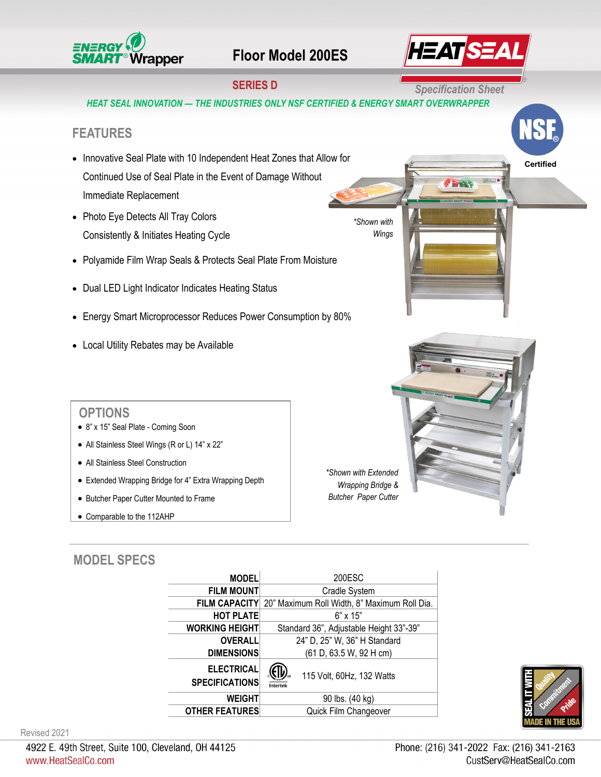

## **Floor Model 200ES**



**Certified**

## **SERIES D Specification Sheet**

*HEAT SEAL INNOVATION — THE INDUSTRIES ONLY NSF CERTIFIED & ENERGY SMART OVERWRAPPER* 

### **FEATURES**

- Innovative Seal Plate with 10 Independent Heat Zones that Allow for Continued Use of Seal Plate in the Event of Damage Without Immediate Replacement
- Photo Eye Detects All Tray Colors Consistently & Initiates Heating Cycle
- Polyamide Film Wrap Seals & Protects Seal Plate From Moisture
- Dual LED Light Indicator Indicates Heating Status
- Energy Smart Microprocessor Reduces Power Consumption by 80%
- Local Utility Rebates may be Available

#### **OPTIONS**

- 8" x 15" Seal Plate Coming Soon
- All Stainless Steel Wings (R or L) 14" x 22"
- All Stainless Steel Construction
- Extended Wrapping Bridge for 4" Extra Wrapping Depth
- Butcher Paper Cutter Mounted to Frame
- Comparable to the 112AHP

*\*Shown with Extended Wrapping Bridge & Butcher Paper Cutter*

*\*Shown with Wings* 

#### **MODEL SPECS**

| <b>MODEL</b>                               | 200ESC                                                     |
|--------------------------------------------|------------------------------------------------------------|
| <b>FILM MOUNT</b>                          | Cradle System                                              |
|                                            | FILM CAPACITY 20" Maximum Roll Width, 8" Maximum Roll Dia. |
| <b>HOT PLATE</b>                           | $6" \times 15"$                                            |
| <b>WORKING HEIGHT</b>                      | Standard 36", Adjustable Height 33"-39"                    |
| <b>OVERALL</b>                             | 24" D, 25" W, 36" H Standard                               |
| <b>DIMENSIONS</b>                          | (61 D, 63.5 W, 92 H cm)                                    |
| <b>ELECTRICAL</b><br><b>SPECIFICATIONS</b> | 115 Volt, 60Hz, 132 Watts<br>Intertek                      |
| <b>WEIGHT</b>                              | 90 lbs. (40 kg)                                            |
| <b>OTHER FEATURES</b>                      | Quick Film Changeover                                      |



Revised 2021